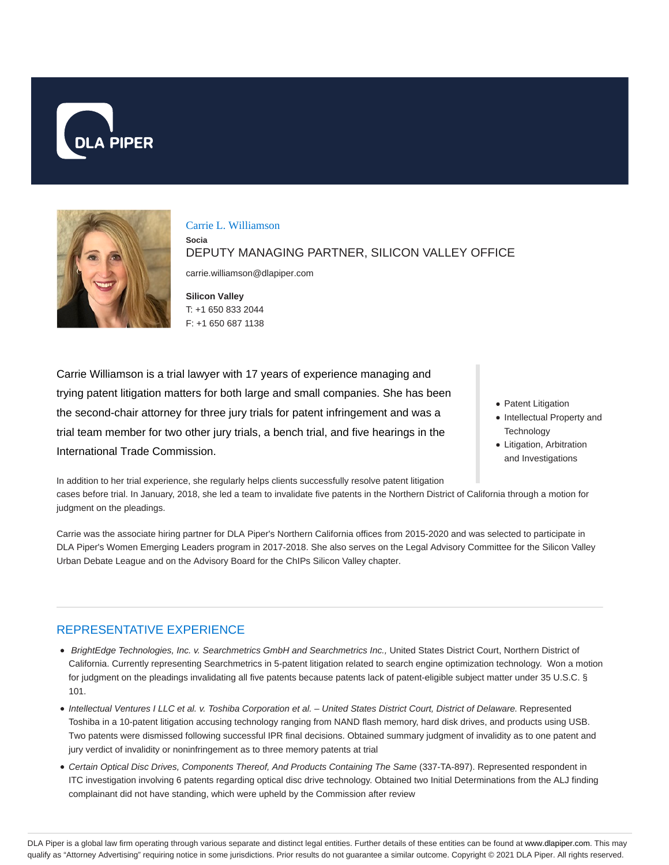



#### Carrie L. Williamson

**Socia**

DEPUTY MANAGING PARTNER, SILICON VALLEY OFFICE

carrie.williamson@dlapiper.com

**Silicon Valley** T: +1 650 833 2044 F: +1 650 687 1138

Carrie Williamson is a trial lawyer with 17 years of experience managing and trying patent litigation matters for both large and small companies. She has been the second-chair attorney for three jury trials for patent infringement and was a trial team member for two other jury trials, a bench trial, and five hearings in the International Trade Commission.

- Patent Litigation
- Intellectual Property and **Technology**
- Litigation, Arbitration and Investigations

In addition to her trial experience, she regularly helps clients successfully resolve patent litigation cases before trial. In January, 2018, she led a team to invalidate five patents in the Northern District of California through a motion for judgment on the pleadings.

Carrie was the associate hiring partner for DLA Piper's Northern California offices from 2015-2020 and was selected to participate in DLA Piper's Women Emerging Leaders program in 2017-2018. She also serves on the Legal Advisory Committee for the Silicon Valley Urban Debate League and on the Advisory Board for the ChIPs Silicon Valley chapter.

# REPRESENTATIVE EXPERIENCE

- BrightEdge Technologies, Inc. v. Searchmetrics GmbH and Searchmetrics Inc., United States District Court, Northern District of California. Currently representing Searchmetrics in 5-patent litigation related to search engine optimization technology. Won a motion for judgment on the pleadings invalidating all five patents because patents lack of patent-eligible subject matter under 35 U.S.C. § 101.
- Intellectual Ventures I LLC et al. v. Toshiba Corporation et al. United States District Court, District of Delaware. Represented Toshiba in a 10-patent litigation accusing technology ranging from NAND flash memory, hard disk drives, and products using USB. Two patents were dismissed following successful IPR final decisions. Obtained summary judgment of invalidity as to one patent and jury verdict of invalidity or noninfringement as to three memory patents at trial
- Certain Optical Disc Drives, Components Thereof, And Products Containing The Same (337-TA-897). Represented respondent in ITC investigation involving 6 patents regarding optical disc drive technology. Obtained two Initial Determinations from the ALJ finding complainant did not have standing, which were upheld by the Commission after review

DLA Piper is a global law firm operating through various separate and distinct legal entities. Further details of these entities can be found at www.dlapiper.com. This may qualify as "Attorney Advertising" requiring notice in some jurisdictions. Prior results do not guarantee a similar outcome. Copyright © 2021 DLA Piper. All rights reserved.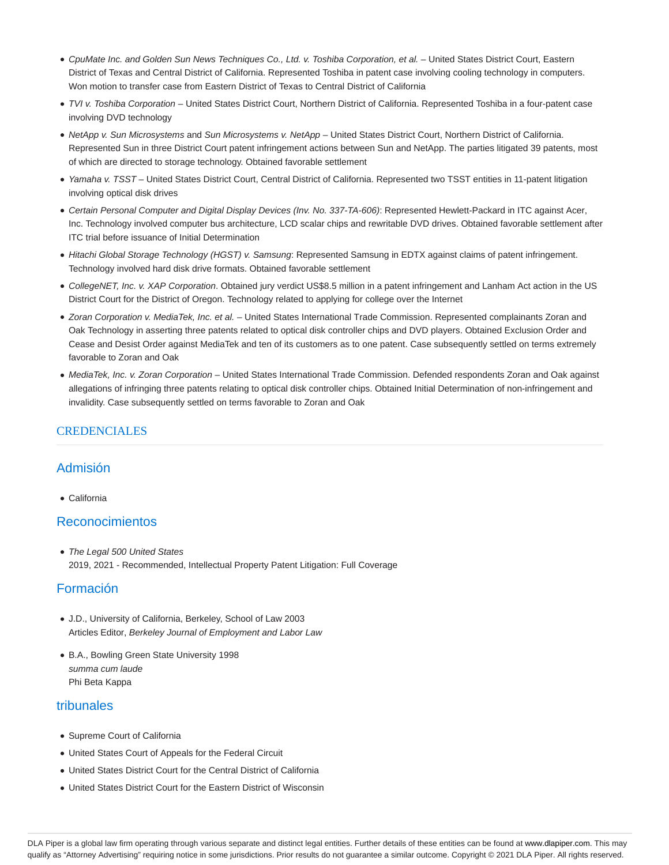- CpuMate Inc. and Golden Sun News Techniques Co., Ltd. v. Toshiba Corporation, et al. United States District Court, Eastern District of Texas and Central District of California. Represented Toshiba in patent case involving cooling technology in computers. Won motion to transfer case from Eastern District of Texas to Central District of California
- TVI v. Toshiba Corporation United States District Court, Northern District of California. Represented Toshiba in a four-patent case involving DVD technology
- NetApp v. Sun Microsystems and Sun Microsystems v. NetApp United States District Court, Northern District of California. Represented Sun in three District Court patent infringement actions between Sun and NetApp. The parties litigated 39 patents, most of which are directed to storage technology. Obtained favorable settlement
- Yamaha v. TSST United States District Court, Central District of California. Represented two TSST entities in 11-patent litigation involving optical disk drives
- Certain Personal Computer and Digital Display Devices (Inv. No. 337-TA-606): Represented Hewlett-Packard in ITC against Acer, Inc. Technology involved computer bus architecture, LCD scalar chips and rewritable DVD drives. Obtained favorable settlement after ITC trial before issuance of Initial Determination
- Hitachi Global Storage Technology (HGST) v. Samsung: Represented Samsung in EDTX against claims of patent infringement. Technology involved hard disk drive formats. Obtained favorable settlement
- CollegeNET, Inc. v. XAP Corporation. Obtained jury verdict US\$8.5 million in a patent infringement and Lanham Act action in the US District Court for the District of Oregon. Technology related to applying for college over the Internet
- Zoran Corporation v. MediaTek, Inc. et al. United States International Trade Commission. Represented complainants Zoran and Oak Technology in asserting three patents related to optical disk controller chips and DVD players. Obtained Exclusion Order and Cease and Desist Order against MediaTek and ten of its customers as to one patent. Case subsequently settled on terms extremely favorable to Zoran and Oak
- MediaTek, Inc. v. Zoran Corporation United States International Trade Commission. Defended respondents Zoran and Oak against allegations of infringing three patents relating to optical disk controller chips. Obtained Initial Determination of non-infringement and invalidity. Case subsequently settled on terms favorable to Zoran and Oak

### CREDENCIALES

## Admisión

California

### Reconocimientos

• The Legal 500 United States 2019, 2021 - Recommended, Intellectual Property Patent Litigation: Full Coverage

# Formación

- J.D., University of California, Berkeley, School of Law 2003 Articles Editor, Berkeley Journal of Employment and Labor Law
- B.A., Bowling Green State University 1998 summa cum laude Phi Beta Kappa

## tribunales

- Supreme Court of California
- United States Court of Appeals for the Federal Circuit
- United States District Court for the Central District of California
- United States District Court for the Eastern District of Wisconsin